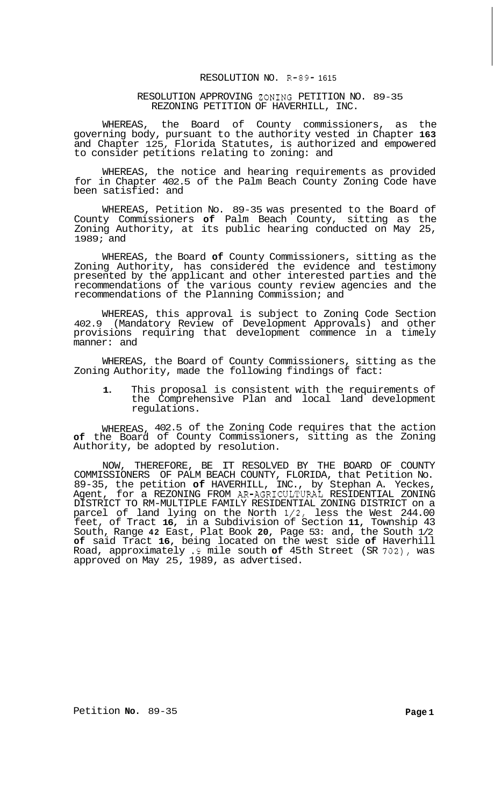## RESOLUTION NO. R-89- 1615

RESOLUTION APPROVING ZONING PETITION NO. 89-35 REZONING PETITION OF HAVERHILL, INC.

WHEREAS, the Board of County commissioners, as the governing body, pursuant to the authority vested in Chapter **163**  and Chapter 125, Florida Statutes, is authorized and empowered to consider petitions relating to zoning: and

WHEREAS, the notice and hearing requirements as provided for in Chapter 402.5 of the Palm Beach County Zoning Code have been satisfied: and

WHEREAS, Petition No. 89-35 was presented to the Board of County Commissioners **of** Palm Beach County, sitting as the Zoning Authority, at its public hearing conducted on May 25, 1989; and

WHEREAS, the Board **of** County Commissioners, sitting as the Zoning Authority, has considered the evidence and testimony presented by the applicant and other interested parties and the recommendations of the various county review agencies and the recommendations of the Planning Commission; and

WHEREAS, this approval is subject to Zoning Code Section 402.9 (Mandatory Review of Development Approvals) and other provisions requiring that development commence in a timely manner: and

WHEREAS, the Board of County Commissioners, sitting as the Zoning Authority, made the following findings of fact:

**1.** This proposal is consistent with the requirements of the Comprehensive Plan and local land development regulations.

WHEREAS, 402.5 of the Zoning Code requires that the action **of** the Board of County Commissioners, sitting as the Zoning Authority, be adopted by resolution.

NOW, THEREFORE, BE IT RESOLVED BY THE BOARD OF COUNTY COMMISSIONERS OF PALM BEACH COUNTY, FLORIDA, that Petition No. 89-35, the petition **of** HAVERHILL, INC., by Stephan A. Yeckes, Agent, for a REZONING FROM AR-AGRICULTURAL RESIDENTIAL ZONING DISTRICT TO RM-MULTIPLE FAMILY RESIDENTIAL ZONING DISTRICT on a parcel of land lying on the North **1/2,** less the West 244.00 feet, of Tract **16,** in a Subdivision of Section **11,** Township 43 South, Range **42** East, Plat Book **20,** Page 53: and, the South 1/2 **of** said Tract **16,** being located on the west side **of** Haverhill Road, approximately **.9** mile south **of** 45th Street (SR **702),** was approved on May 25, 1989, as advertised.